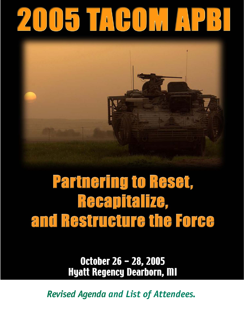# 2005 TACOMAPR



# **Partnering to Reset,** Recapitalize, and Restructure the Force

October 26 - 28, 2005 **Hyatt Regency Dearborn, MI** 

*Revised Agenda and List of Attendees.*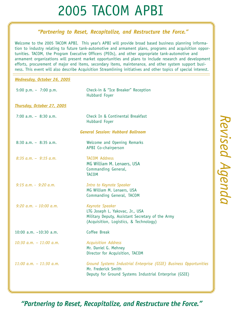#### *"Partnering to Reset, Recapitalize, and Restructure the Force."*

Welcome to the 2005 TACOM APBI. This year's APBI will provide broad based business planning information to industry relating to future tank-automotive and armament plans, programs and acquisition opportunities. TACOM, the Program Executive Officers (PEOs), and other appropriate tank-automotive and armament organizations will present market opportunities and plans to include research and development efforts, procurement of major end items, secondary items, maintenance, and other system support business. This event will also describe Acquisition Streamlining initiatives and other topics of special interest.

#### *Wednesday, October 26, 2005*

| 5:00 p.m. $-7:00$ p.m.            | Check-in & "Ice Breaker" Reception<br>Hubbard Foyer                                                                                                 |
|-----------------------------------|-----------------------------------------------------------------------------------------------------------------------------------------------------|
| <b>Thursday, October 27, 2005</b> |                                                                                                                                                     |
| 7:00 $a.m. - 8:30 a.m.$           | Check In & Continental Breakfast<br>Hubbard Foyer                                                                                                   |
|                                   | <b>General Session: Hubbard Ballroom</b>                                                                                                            |
| $8:30$ a.m. $-8:35$ a.m.          | Welcome and Opening Remarks<br>APBI Co-chairperson                                                                                                  |
| $8:35$ a.m. - $9:15$ a.m.         | <b>TACOM Address</b><br>MG William M. Lenaers, USA<br>Commanding General,<br><b>TACOM</b>                                                           |
| $9:15$ a.m. $-9:20$ a.m.          | Intro to Keynote Speaker<br>MG William M. Lenaers, USA<br>Commanding General, TACOM                                                                 |
| 9:20 $a.m. - 10:00 a.m.$          | Keynote Speaker<br>LTG Joseph L. Yakovac, Jr., USA<br>Military Deputy, Assistant Secretary of the Army<br>(Acquisition, Logistics, & Technology)    |
| 10:00 a.m. $-10:30$ a.m.          | Coffee Break                                                                                                                                        |
| $10:30$ a.m. $- 11:00$ a.m.       | <b>Acquisition Address</b><br>Mr. Daniel G. Mehney<br>Director for Acquisition, TACOM                                                               |
| $11:00$ a.m. - $11:30$ a.m.       | Ground Systems Industrial Enterprise (GSIE) Business Opportunities<br>Mr. Frederick Smith<br>Deputy for Ground Systems Industrial Enterprise (GSIE) |

 *Revised Agenda* Revised Agenda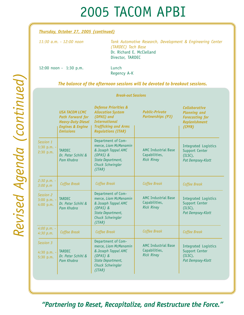#### *Thursday, October 27, 2005 (continued)*

| 11:30 a.m. - 12:00 noon                                                                                                                                                                                                                                                                                                                                                              | Tank Automotive Research, Development & Engineering Center<br>(TARDEC) Tech Base<br>Dr. Richard E. McClelland<br>Director, TARDEC |
|--------------------------------------------------------------------------------------------------------------------------------------------------------------------------------------------------------------------------------------------------------------------------------------------------------------------------------------------------------------------------------------|-----------------------------------------------------------------------------------------------------------------------------------|
| $\overline{A}$ $\overline{A}$ $\overline{A}$ $\overline{A}$ $\overline{A}$ $\overline{A}$ $\overline{A}$ $\overline{A}$ $\overline{A}$ $\overline{A}$ $\overline{A}$ $\overline{A}$ $\overline{A}$ $\overline{A}$ $\overline{A}$ $\overline{A}$ $\overline{A}$ $\overline{A}$ $\overline{A}$ $\overline{A}$ $\overline{A}$ $\overline{A}$ $\overline{A}$ $\overline{A}$ $\overline{$ |                                                                                                                                   |

12:00 noon - 1:30 p.m. Lunch

Regency A-K

*The balance of the afternoon sessions will be devoted to breakout sessions.*

#### *Break-out Sessions*

|                                           | <b>USA TACOM LCMC</b><br><b>Path Forward for</b><br><b>Heavy-Duty Diesel</b><br><b>Engines &amp; Engine</b><br><b>Emissions</b> | <b>Defense Priorities &amp;</b><br><b>Allocation System</b><br>(DPAS) and<br><b>International</b><br><b>Trafficking and Arms</b><br><b>Regulations (ITAR)</b> | <b>Public-Private</b><br><b>Partnerships (P3)</b>                | <b>Collaborative</b><br><b>Planning and</b><br><b>Forecasting for</b><br><b>Replenishment</b><br>(CPFR) |
|-------------------------------------------|---------------------------------------------------------------------------------------------------------------------------------|---------------------------------------------------------------------------------------------------------------------------------------------------------------|------------------------------------------------------------------|---------------------------------------------------------------------------------------------------------|
| Session 1<br>1:30 p.m. $-$<br>$2:30$ p.m. | <b>TARDEC</b><br>Dr. Peter Schihl &<br>Pam Khabra                                                                               | Department of Com-<br>merce, Liam McMenamin<br>& Joseph Tappel AMC<br>$(DPAS)$ &<br>State Department,<br>Chuck Schwingler<br>(ITAR)                           | <b>AMC Industrial Base</b><br>Capabilities,<br><b>Rick Riney</b> | Integrated Logistics<br>Support Center<br>$(ILSC)$ ,<br>Pat Dempsey-Klott                               |
| $2:30 p.m. -$<br>3:00 p.m                 | Coffee Break                                                                                                                    | Coffee Break                                                                                                                                                  | Coffee Break                                                     | Coffee Break                                                                                            |
| Session 2<br>$3:00$ p.m. -<br>4:00 p.m.   | <b>TARDEC</b><br>Dr. Peter Schihl &<br>Pam Khabra                                                                               | Department of Com-<br>merce, Liam McMenamin<br>& Joseph Tappel AMC<br>$(DPAS)$ &<br>State Department,<br><b>Chuck Schwingler</b><br>(ITAR)                    | <b>AMC Industrial Base</b><br>Capabilities,<br><b>Rick Riney</b> | Integrated Logistics<br><b>Support Center</b><br>$(ILSC)$ ,<br>Pat Dempsey-Klott                        |
| $4:00 p.m. -$<br>4:30 p.m.                | Coffee Break                                                                                                                    | Coffee Break                                                                                                                                                  | Coffee Break                                                     | Coffee Break                                                                                            |
| Session 3<br>4:30 p.m. -<br>5:30 $p.m.$   | <b>TARDEC</b><br>Dr. Peter Schihl &<br>Pam Khabra                                                                               | Department of Com-<br>merce, Liam McMenamin<br>& Joseph Tappel AMC<br>$(DPAS)$ &<br>State Department,<br>Chuck Schwingler<br>(ITAR)                           | <b>AMC Industrial Base</b><br>Capabilities,<br><b>Rick Riney</b> | <b>Integrated Logistics</b><br>Support Center<br>$(ILSC)$ ,<br>Pat Dempsey-Klott                        |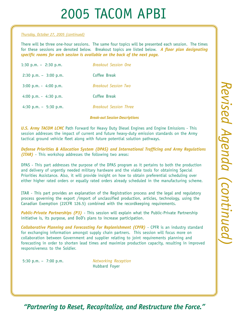#### *Thursday, October 27, 2005 (continued)*

There will be three one-hour sessions. The same four topics will be presented each session. The times for these sessions are denoted below. Breakout topics are listed below. *A floor plan designating specific rooms for each session is available on the back of the next page.*

| 1:30 p.m. $-$ 2:30 p.m.                 | <b>Breakout Session One</b>   |
|-----------------------------------------|-------------------------------|
| $2:30 \text{ p.m.} - 3:00 \text{ p.m.}$ | Coffee Break                  |
| $3:00$ p.m. - 4:00 p.m.                 | <b>Breakout Session Two</b>   |
| 4:00 p.m. $-$ 4:30 p.m.                 | Coffee Break                  |
| 4:30 p.m. $-$ 5:30 p.m.                 | <b>Breakout Session Three</b> |

#### *Break-out Session Descriptions*

*U.S. Army TACOM LCMC* Path Forward for Heavy Duty Diesel Engines and Engine Emissions - This session addresses the impact of current and future heavy-duty emission standards on the Army tactical ground vehicle fleet along with future potential solution pathways.

*Defense Priorities & Allocation System (DPAS) and International Trafficing and Army Regulations (ITAR)* - This workshop addresses the following two areas:

DPAS - This part addresses the purpose of the DPAS program as it pertains to both the production and delivery of urgently needed military hardware and the viable tools for obtaining Special Priorities Assistance. Also, it will provide insight on how to obtain preferential scheduling over either higher rated orders or equally rated orders already scheduled in the manufacturing scheme.

ITAR - This part provides an explanation of the Registration process and the legal and regulatory process governing the export /import of unclassified production, articles, technology, using the Canadian Exemption (22CFR 126.5) combined with the recordkeeping requirements.

*Public-Private Partnerships (P3)* - This session will explain what the Public-Private Partnership initiative is, its purpose, and DoD's plans to increase participation.

**Collaborative Planning and Forecasting For Replenishment (CPFR)** - CPFR is an industry standard for exchanging information amongst supply chain partners. This session will focus more on collaboration between Government and supplier relating to joint requirements planning and forecasting in order to shorten lead times and maximize production capacity, resulting in improved responsiveness to the Soldier.

 5:30 p.m. – 7:00 p.m. *Networking Reception* Hubbard Foyer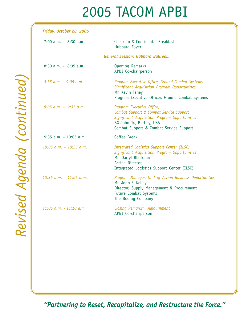| Friday, October 28, 2005    |                                                                                                                                                                                               |
|-----------------------------|-----------------------------------------------------------------------------------------------------------------------------------------------------------------------------------------------|
| 7:00 $a.m. - 8:30 a.m.$     | Check In & Continental Breakfast<br>Hubbard Foyer                                                                                                                                             |
|                             | <b>General Session: Hubbard Ballroom</b>                                                                                                                                                      |
| $8:30$ a.m. - $8:35$ a.m.   | <b>Opening Remarks</b><br>APBI Co-chairperson                                                                                                                                                 |
| $8:35$ a.m. - $9:05$ a.m.   | Program Executive Office, Ground Combat Systems<br>Significant Acquisition Program Opportunities<br>Mr. Kevin Fahey<br>Program Executive Officer, Ground Combat Systems                       |
| $9:05$ a.m. - $9:35$ a.m.   | Program Executive Office,<br>Combat Support & Combat Service Support<br>Significant Acquisition Program Opportunities<br>BG John Jr., Bartley, USA<br>Combat Support & Combat Service Support |
| $9:35$ a.m. - 10:05 a.m.    | Coffee Break                                                                                                                                                                                  |
| $10:05$ a.m. - $10:35$ a.m. | Integrated Logistics Support Center (ILSC)<br>Significant Acquisition Program Opportunities<br>Mr. Darryl Blackburn<br>Acting Director,<br>Integrated Logistics Support Center (ILSC)         |
| $10:35$ a.m. - 11:05 a.m.   | Program Manager, Unit of Action Business Opportunities<br>Mr. John F. Kelley<br>Director, Supply Management & Procurement<br>Future Combat Systems<br>The Boeing Company                      |
| 11:05 a.m. - 11:10 a.m.     | Closing Remarks: Adjournment<br>APBI Co-chairperson                                                                                                                                           |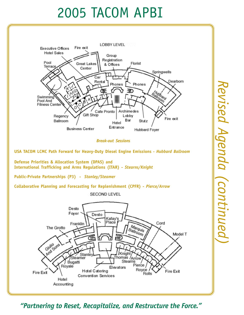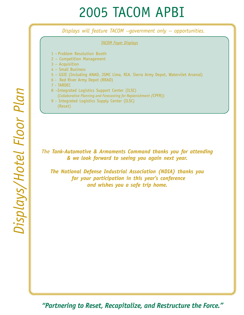*Displays will feature TACOM --government only -- opportunities.* 

*TACOM Foyer Displays*

- 1 Problem Resolution Booth
- 2 Competition Management
- 3 Acquisition
- 4 Small Business
- 5 GSIE (Including ANAD, JSMC Lima, RIA. Sierra Army Depot, Watervliet Arsenal)
- 6 Red River Army Depot (RRAD)
- 7 TARDEC
- 8 –Integrated Logistics Support Center (ILSC) (*Collaborative Planning and Forecasting for Replenishment (*CPFR))
- 9 Integrated Logistics Supply Center (ILSC) (Reset)

*The Tank-Automotive & Armaments Command thanks you for attending & we look forward to seeing you again next year.*

*The National Defense Industrial Association (NDIA) thanks you for your participation in this year's conference and wishes you a safe trip home.*

Displays/Hotel Floor Plan *Displays/Hotel Floor Plan*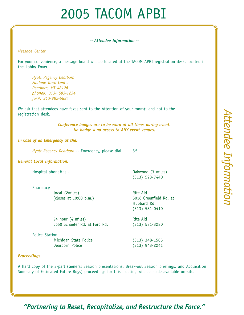#### *~ Attendee Information ~*

*Message Center*

For your convenience, a message board will be located at the TACOM APBI registration desk, located in the Lobby Foyer.

*Hyatt Regency Dearborn Fairlane Town Center Dearborn, MI 48126 phone#: 313- 593-1234 fax#: 313-982-6884*

We ask that attendees have faxes sent to the Attention of your room#, and not to the registration desk.

> *Conference badges are to be worn at all times during event. No badge = no access to ANY event venues.*

#### *In Case of an Emergency at the:*

*Hyatt Regency Dearborn* -- Emergency, please dial 55

#### *General Local Information:*

Hospital phone# is - Oakwood (3 miles)

Pharmacy

local (2miles) Rite Aid

(313) 593-7440

(closes at 10:00 p.m.) 5016 Greenfield Rd. at Hubbard Rd. (313) 581-0410

24 hour (4 miles) Rite Aid 5650 Schaefer Rd. at Ford Rd. (313) 581-3280

Police Station

Michigan State Police (313) 348-1505<br>Dearborn Police (313) 943-2241 Dearborn Police (313) 943-2241

#### *Proceedings*

A hard copy of the 3-part (General Session presentations, Break-out Session briefings, and Acquisition Summary of Estimated Future Buys) proceedings for this meeting will be made available on-site.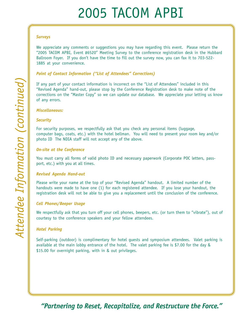#### *Surveys*

We appreciate any comments or suggestions you may have regarding this event. Please return the "2005 TACOM APBI, Event #6520" Meeting Survey to the conference registration desk in the Hubbard Ballroom Foyer. If you don't have the time to fill out the survey now, you can fax it to 703-522- 1885 at your convenience.

#### *Point of Contact Information ("List of Attendees" Corrections)*

If any part of your contact information is incorrect on the "List of Attendees" included in this "Revised Agenda" hand-out, please stop by the Conference Registration desk to make note of the corrections on the "Master Copy" so we can update our database. We appreciate your letting us know of any errors.

#### *Miscellaneous:*

#### *Security*

For security purposes, we respectfully ask that you check any personal items (luggage, computer bags, coats, etc.) with the hotel bellman. You will need to present your room key and/or photo ID The NDIA staff will not accept any of the above.

#### *On-site at the Conference*

You must carry all forms of valid photo ID and necessary paperwork (Corporate POC letters, passport, etc.) with you at all times.

#### *Revised Agenda Hand-out*

Please write your name at the top of your "Revised Agenda" handout. A limited number of the handouts were made to have one (1) for each registered attendee. If you lose your handout, the registration desk will not be able to give you a replacement until the conclusion of the conference.

#### *Cell Phones/Beeper Usage*

We respectfully ask that you turn off your cell phones, beepers, etc. (or turn them to "vibrate"), out of courtesy to the conference speakers and your fellow attendees.

#### *Hotel Parking*

Self-parking (outdoor) is complimentary for hotel guests and symposium attendees. Valet parking is available at the main lobby entrance of the hotel. The valet parking fee is \$7.00 for the day & \$15.00 for overnight parking, with in & out privileges.